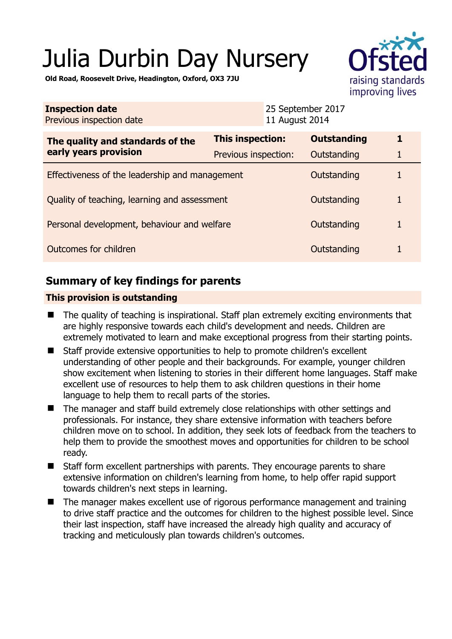# Julia Durbin Day Nursery



**Old Road, Roosevelt Drive, Headington, Oxford, OX3 7JU** 

| <b>Inspection date</b><br>Previous inspection date        | 11 August 2014          | 25 September 2017  |   |
|-----------------------------------------------------------|-------------------------|--------------------|---|
| The quality and standards of the<br>early years provision | <b>This inspection:</b> | <b>Outstanding</b> | 1 |
|                                                           | Previous inspection:    | Outstanding        | 1 |
| Effectiveness of the leadership and management            |                         | Outstanding        | 1 |
| Quality of teaching, learning and assessment              |                         | Outstanding        | 1 |
| Personal development, behaviour and welfare               |                         | Outstanding        | 1 |
| Outcomes for children                                     |                         | Outstanding        | 1 |

# **Summary of key findings for parents**

## **This provision is outstanding**

- The quality of teaching is inspirational. Staff plan extremely exciting environments that are highly responsive towards each child's development and needs. Children are extremely motivated to learn and make exceptional progress from their starting points.
- Staff provide extensive opportunities to help to promote children's excellent understanding of other people and their backgrounds. For example, younger children show excitement when listening to stories in their different home languages. Staff make excellent use of resources to help them to ask children questions in their home language to help them to recall parts of the stories.
- The manager and staff build extremely close relationships with other settings and professionals. For instance, they share extensive information with teachers before children move on to school. In addition, they seek lots of feedback from the teachers to help them to provide the smoothest moves and opportunities for children to be school ready.
- Staff form excellent partnerships with parents. They encourage parents to share extensive information on children's learning from home, to help offer rapid support towards children's next steps in learning.
- The manager makes excellent use of rigorous performance management and training to drive staff practice and the outcomes for children to the highest possible level. Since their last inspection, staff have increased the already high quality and accuracy of tracking and meticulously plan towards children's outcomes.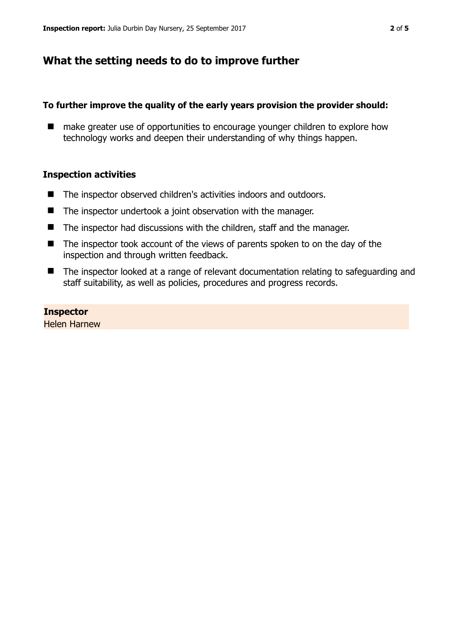# **What the setting needs to do to improve further**

### **To further improve the quality of the early years provision the provider should:**

■ make greater use of opportunities to encourage younger children to explore how technology works and deepen their understanding of why things happen.

## **Inspection activities**

- The inspector observed children's activities indoors and outdoors.
- The inspector undertook a joint observation with the manager.
- The inspector had discussions with the children, staff and the manager.
- The inspector took account of the views of parents spoken to on the day of the inspection and through written feedback.
- The inspector looked at a range of relevant documentation relating to safeguarding and staff suitability, as well as policies, procedures and progress records.

**Inspector**  Helen Harnew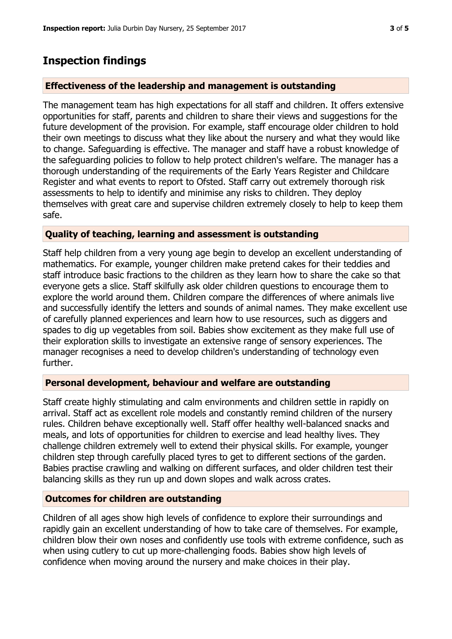## **Inspection findings**

#### **Effectiveness of the leadership and management is outstanding**

The management team has high expectations for all staff and children. It offers extensive opportunities for staff, parents and children to share their views and suggestions for the future development of the provision. For example, staff encourage older children to hold their own meetings to discuss what they like about the nursery and what they would like to change. Safeguarding is effective. The manager and staff have a robust knowledge of the safeguarding policies to follow to help protect children's welfare. The manager has a thorough understanding of the requirements of the Early Years Register and Childcare Register and what events to report to Ofsted. Staff carry out extremely thorough risk assessments to help to identify and minimise any risks to children. They deploy themselves with great care and supervise children extremely closely to help to keep them safe.

#### **Quality of teaching, learning and assessment is outstanding**

Staff help children from a very young age begin to develop an excellent understanding of mathematics. For example, younger children make pretend cakes for their teddies and staff introduce basic fractions to the children as they learn how to share the cake so that everyone gets a slice. Staff skilfully ask older children questions to encourage them to explore the world around them. Children compare the differences of where animals live and successfully identify the letters and sounds of animal names. They make excellent use of carefully planned experiences and learn how to use resources, such as diggers and spades to dig up vegetables from soil. Babies show excitement as they make full use of their exploration skills to investigate an extensive range of sensory experiences. The manager recognises a need to develop children's understanding of technology even further.

#### **Personal development, behaviour and welfare are outstanding**

Staff create highly stimulating and calm environments and children settle in rapidly on arrival. Staff act as excellent role models and constantly remind children of the nursery rules. Children behave exceptionally well. Staff offer healthy well-balanced snacks and meals, and lots of opportunities for children to exercise and lead healthy lives. They challenge children extremely well to extend their physical skills. For example, younger children step through carefully placed tyres to get to different sections of the garden. Babies practise crawling and walking on different surfaces, and older children test their balancing skills as they run up and down slopes and walk across crates.

#### **Outcomes for children are outstanding**

Children of all ages show high levels of confidence to explore their surroundings and rapidly gain an excellent understanding of how to take care of themselves. For example, children blow their own noses and confidently use tools with extreme confidence, such as when using cutlery to cut up more-challenging foods. Babies show high levels of confidence when moving around the nursery and make choices in their play.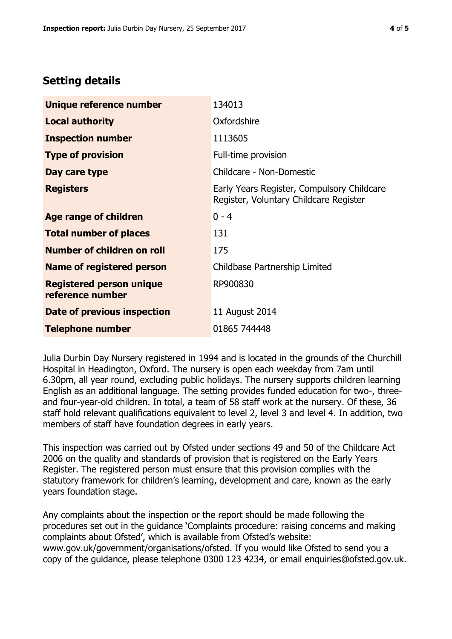# **Setting details**

| Unique reference number                             | 134013                                                                               |  |
|-----------------------------------------------------|--------------------------------------------------------------------------------------|--|
| <b>Local authority</b>                              | Oxfordshire                                                                          |  |
| <b>Inspection number</b>                            | 1113605                                                                              |  |
| <b>Type of provision</b>                            | Full-time provision                                                                  |  |
| Day care type                                       | Childcare - Non-Domestic                                                             |  |
| <b>Registers</b>                                    | Early Years Register, Compulsory Childcare<br>Register, Voluntary Childcare Register |  |
| Age range of children                               | $0 - 4$                                                                              |  |
| <b>Total number of places</b>                       | 131                                                                                  |  |
| Number of children on roll                          | 175                                                                                  |  |
| Name of registered person                           | Childbase Partnership Limited                                                        |  |
| <b>Registered person unique</b><br>reference number | RP900830                                                                             |  |
| Date of previous inspection                         | 11 August 2014                                                                       |  |
| <b>Telephone number</b>                             | 01865 744448                                                                         |  |

Julia Durbin Day Nursery registered in 1994 and is located in the grounds of the Churchill Hospital in Headington, Oxford. The nursery is open each weekday from 7am until 6.30pm, all year round, excluding public holidays. The nursery supports children learning English as an additional language. The setting provides funded education for two-, threeand four-year-old children. In total, a team of 58 staff work at the nursery. Of these, 36 staff hold relevant qualifications equivalent to level 2, level 3 and level 4. In addition, two members of staff have foundation degrees in early years.

This inspection was carried out by Ofsted under sections 49 and 50 of the Childcare Act 2006 on the quality and standards of provision that is registered on the Early Years Register. The registered person must ensure that this provision complies with the statutory framework for children's learning, development and care, known as the early years foundation stage.

Any complaints about the inspection or the report should be made following the procedures set out in the guidance 'Complaints procedure: raising concerns and making complaints about Ofsted', which is available from Ofsted's website: www.gov.uk/government/organisations/ofsted. If you would like Ofsted to send you a copy of the guidance, please telephone 0300 123 4234, or email enquiries@ofsted.gov.uk.